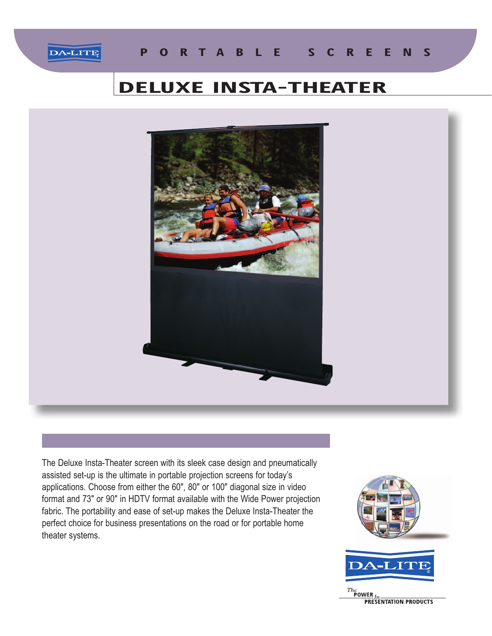

## **DELUXE INSTA-THEATER**



The Deluxe Insta-Theater screen with its sleek case design and pneumatically assisted set-up is the ultimate in portable projection screens for today's applications. Choose from either the 60", 80" or 100" diagonal size in video format and 73" or 90" in HDTV format available with the Wide Power projection fabric. The portability and ease of set-up makes the Deluxe Insta-Theater the perfect choice for business presentations on the road or for portable home theater systems.